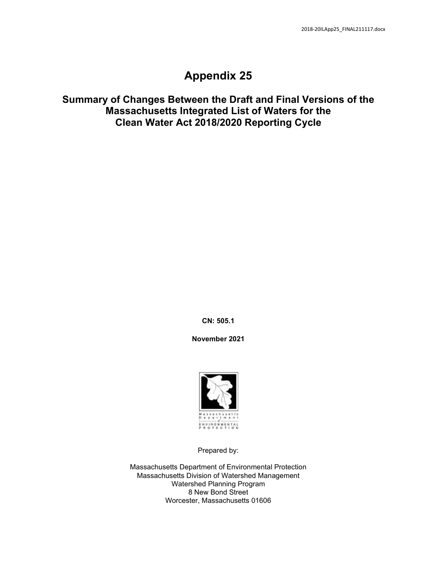## **Appendix 25**

## **Summary of Changes Between the Draft and Final Versions of the Massachusetts Integrated List of Waters for the Clean Water Act 2018/2020 Reporting Cycle**

**CN: 505.1**

**November 2021**



Prepared by:

Massachusetts Department of Environmental Protection Massachusetts Division of Watershed Management Watershed Planning Program 8 New Bond Street Worcester, Massachusetts 01606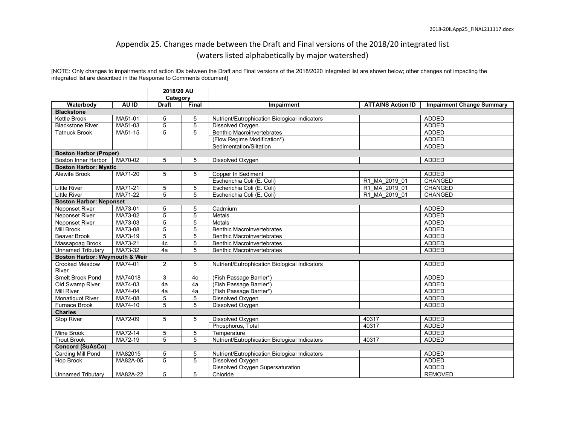## Appendix 25. Changes made between the Draft and Final versions of the 2018/20 integrated list (waters listed alphabetically by major watershed)

[NOTE: Only changes to impairments and action IDs between the Draft and Final versions of the 2018/2020 integrated list are shown below; other changes not impacting the integrated list are described in the Response to Comments document]

|                                   |          | 2018/20 AU     |                |                                               |                          |                                  |  |  |  |  |
|-----------------------------------|----------|----------------|----------------|-----------------------------------------------|--------------------------|----------------------------------|--|--|--|--|
|                                   |          | Category       |                |                                               |                          |                                  |  |  |  |  |
| Waterbody                         | AU ID    | <b>Draft</b>   | Final          | Impairment                                    | <b>ATTAINS Action ID</b> | <b>Impairment Change Summary</b> |  |  |  |  |
| <b>Blackstone</b><br>Kettle Brook |          |                |                |                                               |                          | <b>ADDED</b>                     |  |  |  |  |
|                                   | MA51-01  | 5              | 5              | Nutrient/Eutrophication Biological Indicators |                          |                                  |  |  |  |  |
| <b>Blackstone River</b>           | MA51-03  | 5              | 5              | Dissolved Oxygen                              |                          | <b>ADDED</b>                     |  |  |  |  |
| <b>Tatnuck Brook</b>              | MA51-15  | 5              | 5              | <b>Benthic Macroinvertebrates</b>             |                          | <b>ADDED</b>                     |  |  |  |  |
|                                   |          |                |                | (Flow Regime Modification*)                   |                          | <b>ADDED</b>                     |  |  |  |  |
|                                   |          |                |                | Sedimentation/Siltation                       |                          | <b>ADDED</b>                     |  |  |  |  |
| <b>Boston Harbor (Proper)</b>     |          |                |                |                                               |                          |                                  |  |  |  |  |
| <b>Boston Inner Harbor</b>        | MA70-02  | 5              | 5              | Dissolved Oxygen                              |                          | <b>ADDED</b>                     |  |  |  |  |
| <b>Boston Harbor: Mystic</b>      |          |                |                |                                               |                          |                                  |  |  |  |  |
| Alewife Brook                     | MA71-20  | 5              | 5              | Copper In Sediment                            |                          | <b>ADDED</b>                     |  |  |  |  |
|                                   |          |                |                | Escherichia Coli (E. Coli)                    | R1 MA 2019 01            | CHANGED                          |  |  |  |  |
| <b>Little River</b>               | MA71-21  | 5              | 5              | Escherichia Coli (E. Coli)                    | R1 MA 2019 01            | <b>CHANGED</b>                   |  |  |  |  |
| <b>Little River</b>               | MA71-22  | 5              | 5              | Escherichia Coli (E. Coli)                    | R1 MA 2019 01            | <b>CHANGED</b>                   |  |  |  |  |
| <b>Boston Harbor: Neponset</b>    |          |                |                |                                               |                          |                                  |  |  |  |  |
| <b>Neponset River</b>             | MA73-01  | 5              | 5              | Cadmium                                       |                          | <b>ADDED</b>                     |  |  |  |  |
| <b>Neponset River</b>             | MA73-02  | 5              | 5              | Metals                                        |                          | <b>ADDED</b>                     |  |  |  |  |
| <b>Neponset River</b>             | MA73-03  | $\overline{5}$ | $\overline{5}$ | Metals                                        |                          | <b>ADDED</b>                     |  |  |  |  |
| <b>Mill Brook</b>                 | MA73-08  | 5              | 5              | <b>Benthic Macroinvertebrates</b>             |                          | <b>ADDED</b>                     |  |  |  |  |
| <b>Beaver Brook</b>               | MA73-19  | 5              | 5              | <b>Benthic Macroinvertebrates</b>             |                          | <b>ADDED</b>                     |  |  |  |  |
| Massapoag Brook                   | MA73-21  | 4c             | 5              | <b>Benthic Macroinvertebrates</b>             |                          | <b>ADDED</b>                     |  |  |  |  |
| <b>Unnamed Tributary</b>          | MA73-32  | 4a             | 5              | <b>Benthic Macroinvertebrates</b>             |                          | <b>ADDED</b>                     |  |  |  |  |
| Boston Harbor: Weymouth & Weir    |          |                |                |                                               |                          |                                  |  |  |  |  |
| Crooked Meadow<br>River           | MA74-01  | $\overline{2}$ | 5              | Nutrient/Eutrophication Biological Indicators |                          | <b>ADDED</b>                     |  |  |  |  |
| Smelt Brook Pond                  | MA74018  | 3              | 4c             | (Fish Passage Barrier*)                       |                          | <b>ADDED</b>                     |  |  |  |  |
| Old Swamp River                   | MA74-03  | 4a             | 4a             | (Fish Passage Barrier*)                       |                          | <b>ADDED</b>                     |  |  |  |  |
| <b>Mill River</b>                 | MA74-04  | 4a             | 4a             | (Fish Passage Barrier*)                       |                          | <b>ADDED</b>                     |  |  |  |  |
| <b>Monatiquot River</b>           | MA74-08  | 5              | 5              | Dissolved Oxygen                              |                          | <b>ADDED</b>                     |  |  |  |  |
| <b>Furnace Brook</b>              | MA74-10  | 5              | 5              | Dissolved Oxygen                              |                          | <b>ADDED</b>                     |  |  |  |  |
| <b>Charles</b>                    |          |                |                |                                               |                          |                                  |  |  |  |  |
| Stop River                        | MA72-09  | 5              | 5              | Dissolved Oxygen                              | 40317                    | <b>ADDED</b>                     |  |  |  |  |
|                                   |          |                |                | Phosphorus, Total                             | 40317                    | <b>ADDED</b>                     |  |  |  |  |
| Mine Brook                        | MA72-14  | $\,$ 5 $\,$    | 5              | Temperature                                   |                          | <b>ADDED</b>                     |  |  |  |  |
| <b>Trout Brook</b>                | MA72-19  | 5              | 5              | Nutrient/Eutrophication Biological Indicators | 40317                    | <b>ADDED</b>                     |  |  |  |  |
| <b>Concord (SuAsCo)</b>           |          |                |                |                                               |                          |                                  |  |  |  |  |
| Carding Mill Pond                 | MA82015  | 5              | 5              | Nutrient/Eutrophication Biological Indicators |                          | <b>ADDED</b>                     |  |  |  |  |
| Hop Brook                         | MA82A-05 | 5              | 5              | Dissolved Oxygen                              |                          | <b>ADDED</b>                     |  |  |  |  |
|                                   |          |                |                | Dissolved Oxygen Supersaturation              |                          | <b>ADDED</b>                     |  |  |  |  |
| <b>Unnamed Tributary</b>          | MA82A-22 | 5              | 5              | Chloride                                      |                          | <b>REMOVED</b>                   |  |  |  |  |
|                                   |          |                |                |                                               |                          |                                  |  |  |  |  |